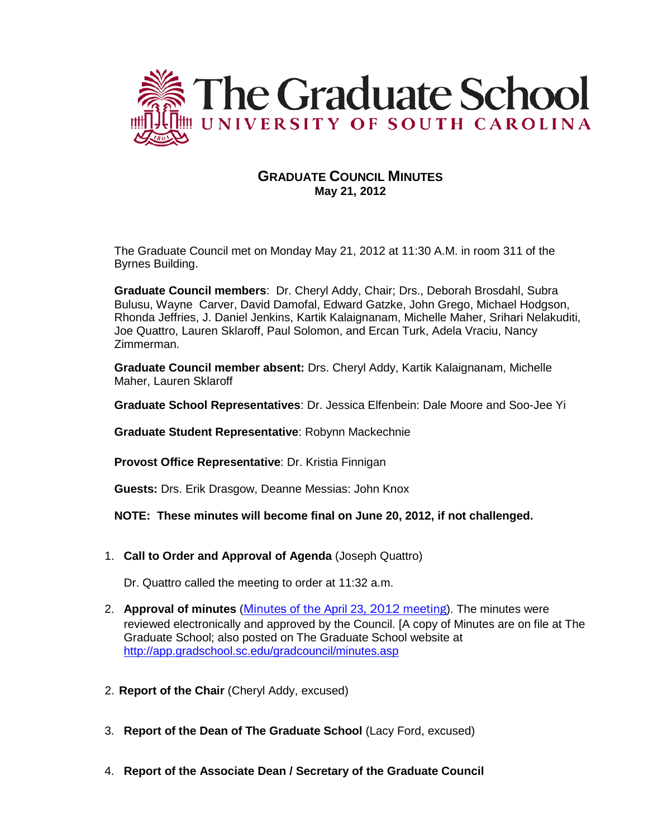

# **GRADUATE COUNCIL MINUTES May 21, 2012**

The Graduate Council met on Monday May 21, 2012 at 11:30 A.M. in room 311 of the Byrnes Building.

**Graduate Council members**: Dr. Cheryl Addy, Chair; Drs., Deborah Brosdahl, Subra Bulusu, Wayne Carver, David Damofal, Edward Gatzke, John Grego, Michael Hodgson, Rhonda Jeffries, J. Daniel Jenkins, Kartik Kalaignanam, Michelle Maher, Srihari Nelakuditi, Joe Quattro, Lauren Sklaroff, Paul Solomon, and Ercan Turk, Adela Vraciu, Nancy Zimmerman.

**Graduate Council member absent:** Drs. Cheryl Addy, Kartik Kalaignanam, Michelle Maher, Lauren Sklaroff

**Graduate School Representatives**: Dr. Jessica Elfenbein: Dale Moore and Soo-Jee Yi

**Graduate Student Representative**: Robynn Mackechnie

**Provost Office Representative**: Dr. Kristia Finnigan

**Guests:** Drs. Erik Drasgow, Deanne Messias: John Knox

## **NOTE: These minutes will become final on June 20, 2012, if not challenged.**

1. **Call to Order and Approval of Agenda** (Joseph Quattro)

Dr. Quattro called the meeting to order at 11:32 a.m.

- 2. **Approval of minutes** (Minutes of the April 23[, 2012 meeting](http://app.gradschool.sc.edu/includes/filedownload-public.asp?location=E:\GMS\GRADCOUNCIL\2011\GCMinutes042312.pdf&file_name=GCMinutes042312.pdf)). The minutes were reviewed electronically and approved by the Council. [A copy of Minutes are on file at The Graduate School; also posted on The Graduate School website at <http://app.gradschool.sc.edu/gradcouncil/minutes.asp>
- 2. **Report of the Chair** (Cheryl Addy, excused)
- 3. **Report of the Dean of The Graduate School** (Lacy Ford, excused)
- 4. **Report of the Associate Dean / Secretary of the Graduate Council**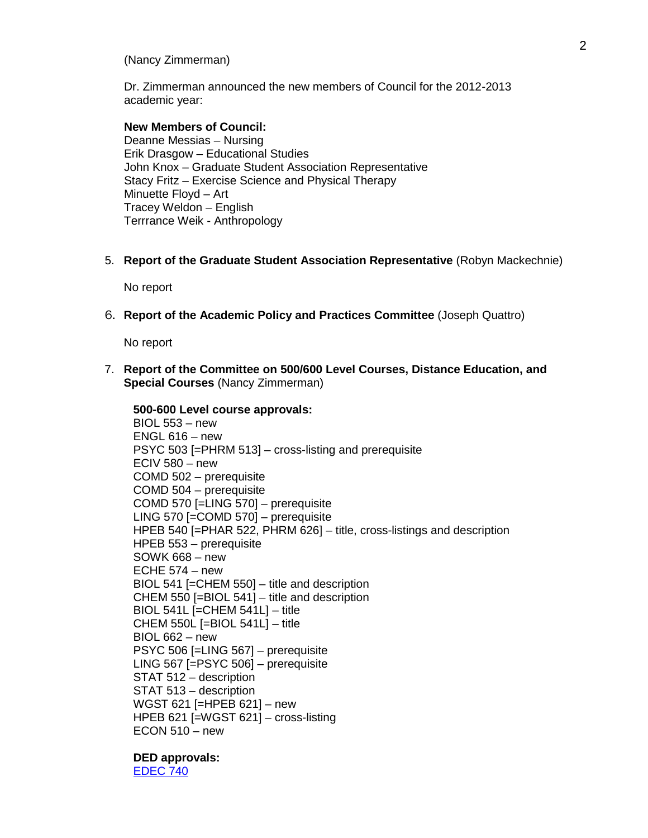## (Nancy Zimmerman)

Dr. Zimmerman announced the new members of Council for the 2012-2013 academic year:

## **New Members of Council:**

 Deanne Messias – Nursing Erik Drasgow – Educational Studies John Knox – Graduate Student Association Representative Stacy Fritz – Exercise Science and Physical Therapy Minuette Floyd – Art Tracey Weldon – English Terrrance Weik - Anthropology

5. **Report of the Graduate Student Association Representative** (Robyn Mackechnie)

No report

6. **Report of the Academic Policy and Practices Committee** (Joseph Quattro)

No report

7. **Report of the Committee on 500/600 Level Courses, Distance Education, and Special Courses** (Nancy Zimmerman)

**500-600 Level course approvals:** BIOL 553 – new ENGL 616 – new PSYC 503 [=PHRM 513] – cross-listing and prerequisite ECIV 580  $-$  new COMD 502 – prerequisite COMD 504 – prerequisite COMD 570 [=LING 570] – prerequisite LING 570 [=COMD 570] – prerequisite HPEB 540 [=PHAR 522, PHRM 626] – title, cross-listings and description HPEB 553 – prerequisite SOWK 668 – new ECHE  $574 - new$ BIOL 541 [=CHEM 550] – title and description CHEM 550 [=BIOL 541] – title and description BIOL 541L [=CHEM 541L] – title CHEM 550L [=BIOL 541L] – title BIOL 662 – new PSYC 506 [=LING 567] – prerequisite LING 567 [=PSYC 506] – prerequisite STAT 512 – description STAT 513 – description WGST 621 [=HPEB 621] – new HPEB 621 [=WGST 621] – cross-listing  $ECON 510 - new$ 

**DED approvals:** [EDEC 740](http://app.gradschool.sc.edu/includes/filedownload-public.asp?location=E:\GMS\GRADCOUNCIL\2011\DEDEDEC740_201211.pdf&file_name=DEDEDEC740_201211.pdf)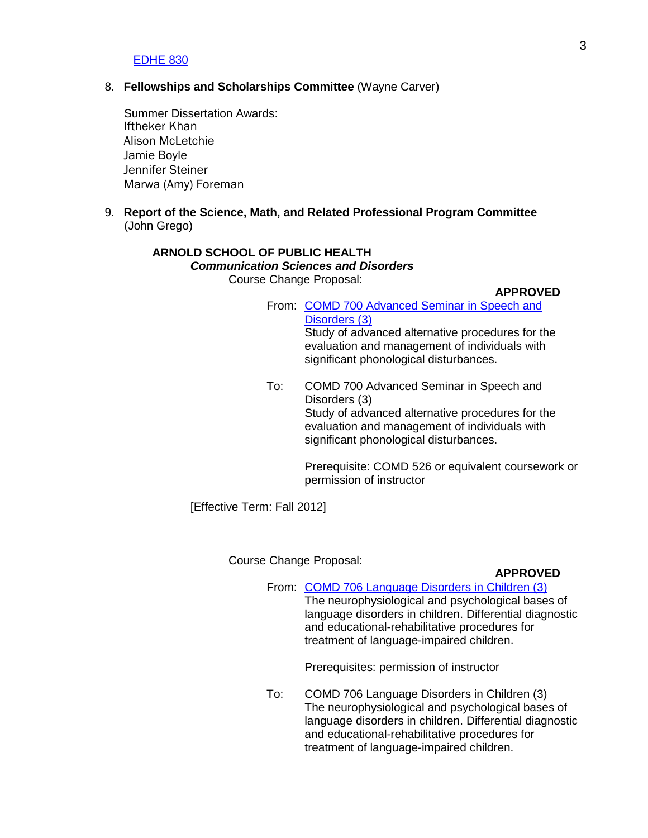### [EDHE 830](http://app.gradschool.sc.edu/includes/filedownload-public.asp?location=E:\GMS\GRADCOUNCIL\2011\DEDEDHE830_201241_Redacted.pdf&file_name=DEDEDHE830_201241_Redacted.pdf)

## 8. **Fellowships and Scholarships Committee** (Wayne Carver)

 Summer Dissertation Awards: Iftheker Khan Alison McLetchie Jamie Boyle Jennifer Steiner Marwa (Amy) Foreman

9. **Report of the Science, Math, and Related Professional Program Committee** (John Grego)

## **ARNOLD SCHOOL OF PUBLIC HEALTH**  *Communication Sciences and Disorders*  Course Change Proposal:

#### **APPROVED**

- From: [COMD 700 Advanced Seminar in Speech and](http://app.gradschool.sc.edu/includes/filedownload-public.asp?location=E:\GMS\GRADCOUNCIL\2011\CCPCOMD700_201241.pdf&file_name=CCPCOMD700_201241.pdf) [Disorders \(3\)](http://app.gradschool.sc.edu/includes/filedownload-public.asp?location=E:\GMS\GRADCOUNCIL\2011\CCPCOMD700_201241.pdf&file_name=CCPCOMD700_201241.pdf) Study of advanced alternative procedures for the evaluation and management of individuals with significant phonological disturbances.
- To: COMD 700 Advanced Seminar in Speech and Disorders (3) Study of advanced alternative procedures for the evaluation and management of individuals with significant phonological disturbances.

Prerequisite: COMD 526 or equivalent coursework or permission of instructor

[Effective Term: Fall 2012]

Course Change Proposal:

## **APPROVED**

From: [COMD 706 Language Disorders in Children \(3\)](http://app.gradschool.sc.edu/includes/filedownload-public.asp?location=E:\GMS\GRADCOUNCIL\2011\CCPCOMD706_201241.pdf&file_name=CCPCOMD706_201241.pdf) The neurophysiological and psychological bases of language disorders in children. Differential diagnostic and educational-rehabilitative procedures for treatment of language-impaired children.

Prerequisites: permission of instructor

To: COMD 706 Language Disorders in Children (3) The neurophysiological and psychological bases of language disorders in children. Differential diagnostic and educational-rehabilitative procedures for treatment of language-impaired children.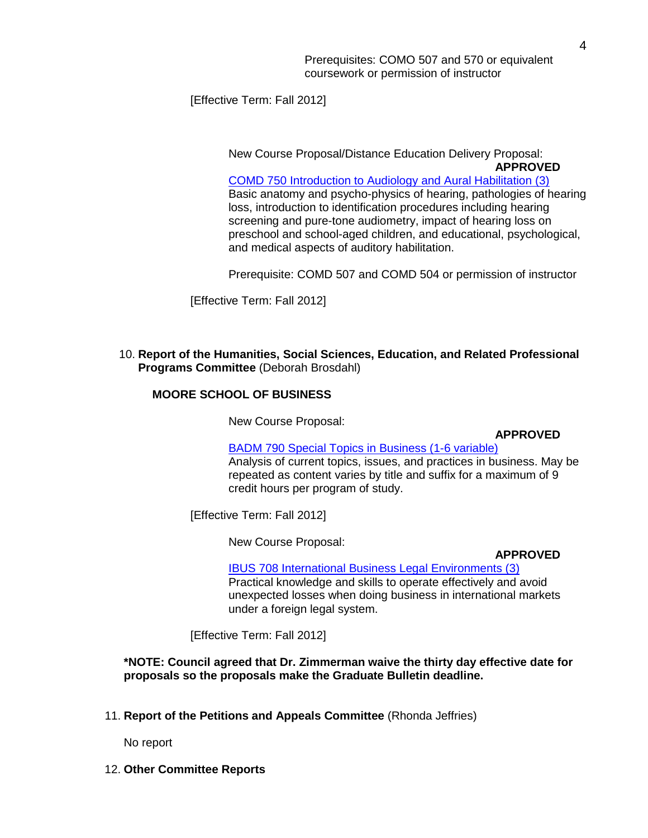[Effective Term: Fall 2012]

New Course Proposal/Distance Education Delivery Proposal: **APPROVED**

[COMD 750 Introduction to Audiology and Aural Habilitation \(3\)](http://app.gradschool.sc.edu/includes/filedownload-public.asp?location=E:\GMS\GRADCOUNCIL\2011\NCPCOMD750_201241_Redacted.pdf&file_name=NCPCOMD750_201241_Redacted.pdf) Basic anatomy and psycho-physics of hearing, pathologies of hearing loss, introduction to identification procedures including hearing screening and pure-tone audiometry, impact of hearing loss on preschool and school-aged children, and educational, psychological, and medical aspects of auditory habilitation.

Prerequisite: COMD 507 and COMD 504 or permission of instructor

[Effective Term: Fall 2012]

## 10. **Report of the Humanities, Social Sciences, Education, and Related Professional Programs Committee** (Deborah Brosdahl)

## **MOORE SCHOOL OF BUSINESS**

New Course Proposal:

**APPROVED**

[BADM 790 Special Topics in Business \(1-6 variable\)](http://app.gradschool.sc.edu/includes/filedownload-public.asp?location=E:\GMS\GRADCOUNCIL\2011\NCPBADM790_201241.pdf&file_name=NCPBADM790_201241.pdf) Analysis of current topics, issues, and practices in business. May be repeated as content varies by title and suffix for a maximum of 9 credit hours per program of study.

[Effective Term: Fall 2012]

New Course Proposal:

**APPROVED**

[IBUS 708 International Business Legal Environments \(3\)](http://app.gradschool.sc.edu/includes/filedownload-public.asp?location=E:\GMS\GRADCOUNCIL\2011\NCPIBUS708_201241.pdf&file_name=NCPIBUS708_201241.pdf) Practical knowledge and skills to operate effectively and avoid unexpected losses when doing business in international markets under a foreign legal system.

[Effective Term: Fall 2012]

**\*NOTE: Council agreed that Dr. Zimmerman waive the thirty day effective date for proposals so the proposals make the Graduate Bulletin deadline.**

11. **Report of the Petitions and Appeals Committee** (Rhonda Jeffries)

No report

12. **Other Committee Reports**